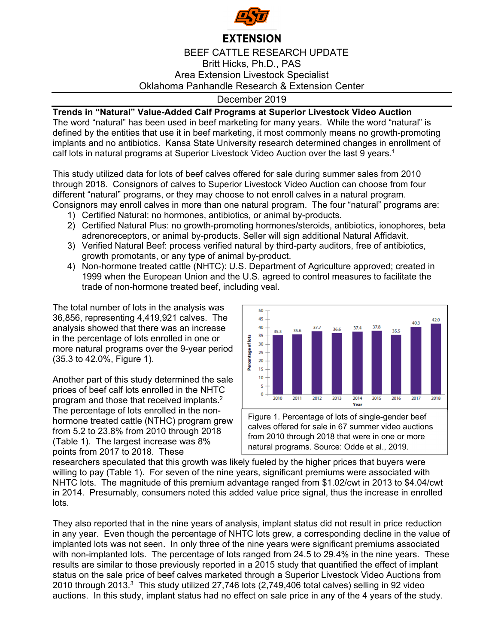

## **EXTENSION**

## BEEF CATTLE RESEARCH UPDATE Britt Hicks, Ph.D., PAS Area Extension Livestock Specialist Oklahoma Panhandle Research & Extension Center

## December 2019

## **Trends in "Natural" Value-Added Calf Programs at Superior Livestock Video Auction**

The word "natural" has been used in beef marketing for many years. While the word "natural" is defined by the entities that use it in beef marketing, it most commonly means no growth-promoting implants and no antibiotics. Kansa State University research determined changes in enrollment of calf lots in natural programs at Superior Livestock Video Auction over the last 9 years.<sup>1</sup>

This study utilized data for lots of beef calves offered for sale during summer sales from 2010 through 2018. Consignors of calves to Superior Livestock Video Auction can choose from four different "natural" programs, or they may choose to not enroll calves in a natural program. Consignors may enroll calves in more than one natural program. The four "natural" programs are:

- 1) Certified Natural: no hormones, antibiotics, or animal by-products.
- 2) Certified Natural Plus: no growth-promoting hormones/steroids, antibiotics, ionophores, beta adrenoreceptors, or animal by-products. Seller will sign additional Natural Affidavit.
- 3) Verified Natural Beef: process verified natural by third-party auditors, free of antibiotics, growth promotants, or any type of animal by-product.
- 4) Non-hormone treated cattle (NHTC): U.S. Department of Agriculture approved; created in 1999 when the European Union and the U.S. agreed to control measures to facilitate the trade of non-hormone treated beef, including veal.

The total number of lots in the analysis was 36,856, representing 4,419,921 calves. The analysis showed that there was an increase in the percentage of lots enrolled in one or more natural programs over the 9-year period (35.3 to 42.0%, Figure 1).

Another part of this study determined the sale prices of beef calf lots enrolled in the NHTC program and those that received implants.2 The percentage of lots enrolled in the nonhormone treated cattle (NTHC) program grew from 5.2 to 23.8% from 2010 through 2018 (Table 1). The largest increase was 8% points from 2017 to 2018. These



from 2010 through 2018 that were in one or more natural programs. Source: Odde et al., 2019.

researchers speculated that this growth was likely fueled by the higher prices that buyers were willing to pay (Table 1). For seven of the nine years, significant premiums were associated with NHTC lots. The magnitude of this premium advantage ranged from \$1.02/cwt in 2013 to \$4.04/cwt in 2014. Presumably, consumers noted this added value price signal, thus the increase in enrolled lots.

They also reported that in the nine years of analysis, implant status did not result in price reduction in any year. Even though the percentage of NHTC lots grew, a corresponding decline in the value of implanted lots was not seen. In only three of the nine years were significant premiums associated with non-implanted lots. The percentage of lots ranged from 24.5 to 29.4% in the nine years. These results are similar to those previously reported in a 2015 study that quantified the effect of implant status on the sale price of beef calves marketed through a Superior Livestock Video Auctions from 2010 through 2013. $3$  This study utilized 27,746 lots (2,749,406 total calves) selling in 92 video auctions. In this study, implant status had no effect on sale price in any of the 4 years of the study.